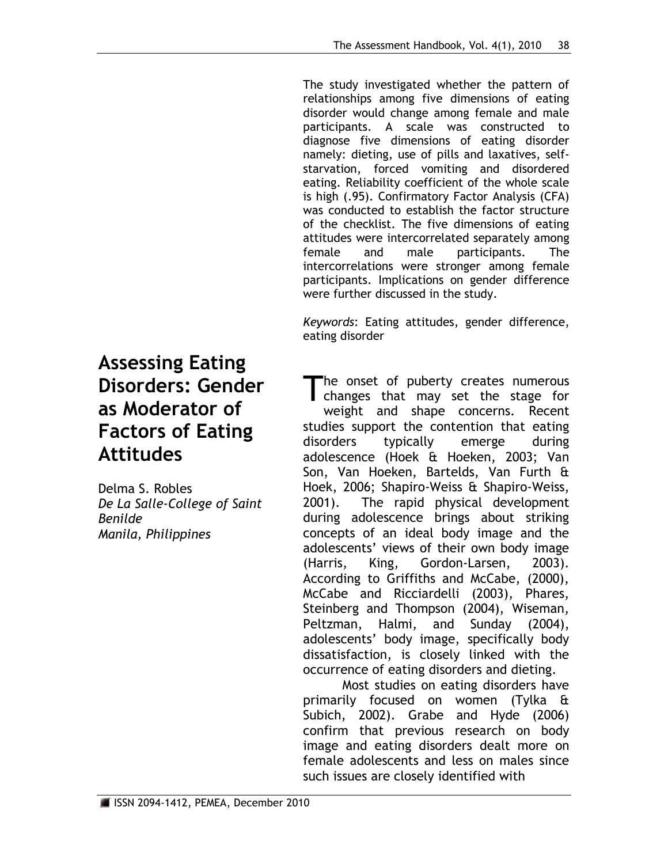The study investigated whether the pattern of relationships among five dimensions of eating disorder would change among female and male participants. A scale was constructed to diagnose five dimensions of eating disorder namely: dieting, use of pills and laxatives, selfstarvation, forced vomiting and disordered eating. Reliability coefficient of the whole scale is high (.95). Confirmatory Factor Analysis (CFA) was conducted to establish the factor structure of the checklist. The five dimensions of eating attitudes were intercorrelated separately among female and male participants. The intercorrelations were stronger among female participants. Implications on gender difference were further discussed in the study.

*Keywords*: Eating attitudes, gender difference, eating disorder

he onset of puberty creates numerous The onset of puberty creates numerous<br>
changes that may set the stage for weight and shape concerns. Recent studies support the contention that eating disorders typically emerge during adolescence (Hoek & Hoeken, 2003; Van Son, Van Hoeken, Bartelds, Van Furth & Hoek, 2006; Shapiro-Weiss & Shapiro-Weiss, 2001). The rapid physical development during adolescence brings about striking concepts of an ideal body image and the adolescents' views of their own body image (Harris, King, Gordon-Larsen, 2003). According to Griffiths and McCabe, (2000), McCabe and Ricciardelli (2003), Phares, Steinberg and Thompson (2004), Wiseman, Peltzman, Halmi, and Sunday (2004), adolescents' body image, specifically body dissatisfaction, is closely linked with the occurrence of eating disorders and dieting.

Most studies on eating disorders have primarily focused on women (Tylka & Subich, 2002). Grabe and Hyde (2006) confirm that previous research on body image and eating disorders dealt more on female adolescents and less on males since such issues are closely identified with

# **Assessing Eating Disorders: Gender as Moderator of Factors of Eating Attitudes**

Delma S. Robles *De La Salle-College of Saint Benilde Manila, Philippines*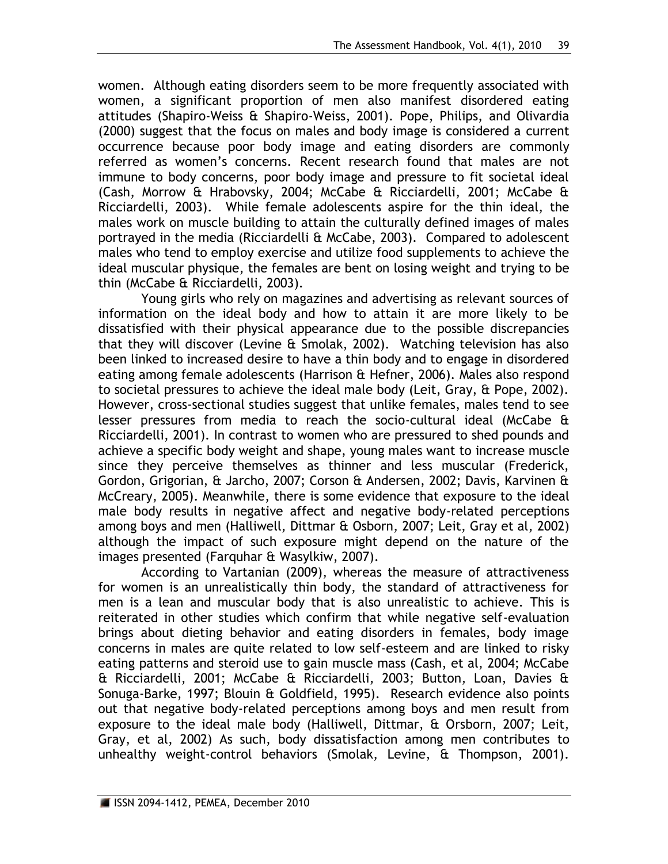women. Although eating disorders seem to be more frequently associated with women, a significant proportion of men also manifest disordered eating attitudes (Shapiro-Weiss & Shapiro-Weiss, 2001). Pope, Philips, and Olivardia (2000) suggest that the focus on males and body image is considered a current occurrence because poor body image and eating disorders are commonly referred as women's concerns. Recent research found that males are not immune to body concerns, poor body image and pressure to fit societal ideal (Cash, Morrow & Hrabovsky, 2004; McCabe & Ricciardelli, 2001; McCabe & Ricciardelli, 2003). While female adolescents aspire for the thin ideal, the males work on muscle building to attain the culturally defined images of males portrayed in the media (Ricciardelli & McCabe, 2003). Compared to adolescent males who tend to employ exercise and utilize food supplements to achieve the ideal muscular physique, the females are bent on losing weight and trying to be thin (McCabe & Ricciardelli, 2003).

Young girls who rely on magazines and advertising as relevant sources of information on the ideal body and how to attain it are more likely to be dissatisfied with their physical appearance due to the possible discrepancies that they will discover (Levine & Smolak, 2002). Watching television has also been linked to increased desire to have a thin body and to engage in disordered eating among female adolescents (Harrison & Hefner, 2006). Males also respond to societal pressures to achieve the ideal male body (Leit, Gray, & Pope, 2002). However, cross-sectional studies suggest that unlike females, males tend to see lesser pressures from media to reach the socio-cultural ideal (McCabe & Ricciardelli, 2001). In contrast to women who are pressured to shed pounds and achieve a specific body weight and shape, young males want to increase muscle since they perceive themselves as thinner and less muscular (Frederick, Gordon, Grigorian, & Jarcho, 2007; Corson & Andersen, 2002; Davis, Karvinen & McCreary, 2005). Meanwhile, there is some evidence that exposure to the ideal male body results in negative affect and negative body-related perceptions among boys and men (Halliwell, Dittmar & Osborn, 2007; Leit, Gray et al, 2002) although the impact of such exposure might depend on the nature of the images presented (Farquhar & Wasylkiw, 2007).

According to Vartanian (2009), whereas the measure of attractiveness for women is an unrealistically thin body, the standard of attractiveness for men is a lean and muscular body that is also unrealistic to achieve. This is reiterated in other studies which confirm that while negative self-evaluation brings about dieting behavior and eating disorders in females, body image concerns in males are quite related to low self-esteem and are linked to risky eating patterns and steroid use to gain muscle mass (Cash, et al, 2004; McCabe & Ricciardelli, 2001; McCabe & Ricciardelli, 2003; Button, Loan, Davies & Sonuga-Barke, 1997; Blouin & Goldfield, 1995). Research evidence also points out that negative body-related perceptions among boys and men result from exposure to the ideal male body (Halliwell, Dittmar, & Orsborn, 2007; Leit, Gray, et al, 2002) As such, body dissatisfaction among men contributes to unhealthy weight-control behaviors (Smolak, Levine, & Thompson, 2001).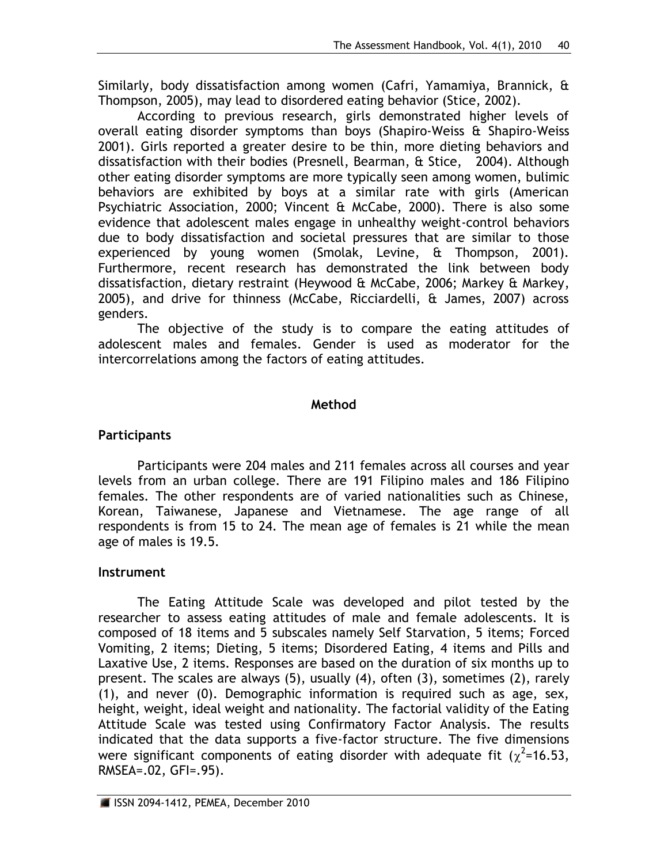Similarly, body dissatisfaction among women (Cafri, Yamamiya, Brannick, & Thompson, 2005), may lead to disordered eating behavior (Stice, 2002).

According to previous research, girls demonstrated higher levels of overall eating disorder symptoms than boys (Shapiro-Weiss & Shapiro-Weiss 2001). Girls reported a greater desire to be thin, more dieting behaviors and dissatisfaction with their bodies (Presnell, Bearman, & Stice, 2004). Although other eating disorder symptoms are more typically seen among women, bulimic behaviors are exhibited by boys at a similar rate with girls (American Psychiatric Association, 2000; Vincent & McCabe, 2000). There is also some evidence that adolescent males engage in unhealthy weight-control behaviors due to body dissatisfaction and societal pressures that are similar to those experienced by young women (Smolak, Levine, & Thompson, 2001). Furthermore, recent research has demonstrated the link between body dissatisfaction, dietary restraint (Heywood & McCabe, 2006; Markey & Markey, 2005), and drive for thinness (McCabe, Ricciardelli, & James, 2007) across genders.

The objective of the study is to compare the eating attitudes of adolescent males and females. Gender is used as moderator for the intercorrelations among the factors of eating attitudes.

## **Method**

## **Participants**

Participants were 204 males and 211 females across all courses and year levels from an urban college. There are 191 Filipino males and 186 Filipino females. The other respondents are of varied nationalities such as Chinese, Korean, Taiwanese, Japanese and Vietnamese. The age range of all respondents is from 15 to 24. The mean age of females is 21 while the mean age of males is 19.5.

## **Instrument**

The Eating Attitude Scale was developed and pilot tested by the researcher to assess eating attitudes of male and female adolescents. It is composed of 18 items and 5 subscales namely Self Starvation, 5 items; Forced Vomiting, 2 items; Dieting, 5 items; Disordered Eating, 4 items and Pills and Laxative Use, 2 items. Responses are based on the duration of six months up to present. The scales are always (5), usually (4), often (3), sometimes (2), rarely (1), and never (0). Demographic information is required such as age, sex, height, weight, ideal weight and nationality. The factorial validity of the Eating Attitude Scale was tested using Confirmatory Factor Analysis. The results indicated that the data supports a five-factor structure. The five dimensions were significant components of eating disorder with adequate fit ( $\chi^2$ =16.53, RMSEA=.02, GFI=.95).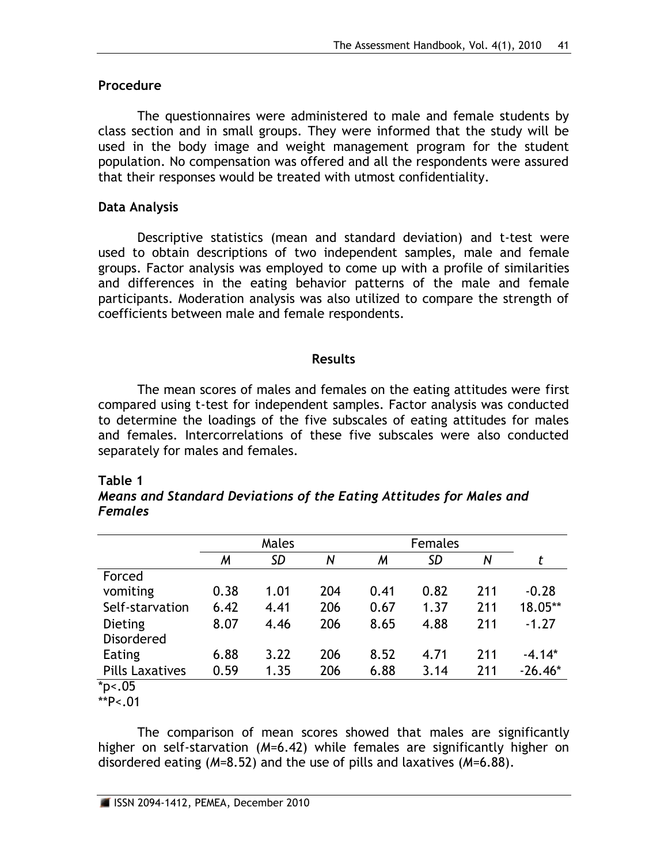## **Procedure**

The questionnaires were administered to male and female students by class section and in small groups. They were informed that the study will be used in the body image and weight management program for the student population. No compensation was offered and all the respondents were assured that their responses would be treated with utmost confidentiality.

## **Data Analysis**

Descriptive statistics (mean and standard deviation) and t-test were used to obtain descriptions of two independent samples, male and female groups. Factor analysis was employed to come up with a profile of similarities and differences in the eating behavior patterns of the male and female participants. Moderation analysis was also utilized to compare the strength of coefficients between male and female respondents.

### **Results**

The mean scores of males and females on the eating attitudes were first compared using t-test for independent samples. Factor analysis was conducted to determine the loadings of the five subscales of eating attitudes for males and females. Intercorrelations of these five subscales were also conducted separately for males and females.

#### **Table 1**

| Means and Standard Deviations of the Eating Attitudes for Males and |  |  |
|---------------------------------------------------------------------|--|--|
| <b>Females</b>                                                      |  |  |

|                        | Males |           |     | <b>Females</b> |      |     |           |
|------------------------|-------|-----------|-----|----------------|------|-----|-----------|
|                        | M     | <b>SD</b> | N   | M              | SD   | N   | t         |
| Forced                 |       |           |     |                |      |     |           |
| vomiting               | 0.38  | 1.01      | 204 | 0.41           | 0.82 | 211 | $-0.28$   |
| Self-starvation        | 6.42  | 4.41      | 206 | 0.67           | 1.37 | 211 | 18.05**   |
| Dieting                | 8.07  | 4.46      | 206 | 8.65           | 4.88 | 211 | $-1.27$   |
| <b>Disordered</b>      |       |           |     |                |      |     |           |
| Eating                 | 6.88  | 3.22      | 206 | 8.52           | 4.71 | 211 | $-4.14*$  |
| <b>Pills Laxatives</b> | 0.59  | 1.35      | 206 | 6.88           | 3.14 | 211 | $-26.46*$ |
| $*_{p<.05}$            |       |           |     |                |      |     |           |

\*\*P<.01

The comparison of mean scores showed that males are significantly higher on self-starvation (*M*=6.42) while females are significantly higher on disordered eating (*M*=8.52) and the use of pills and laxatives (*M*=6.88).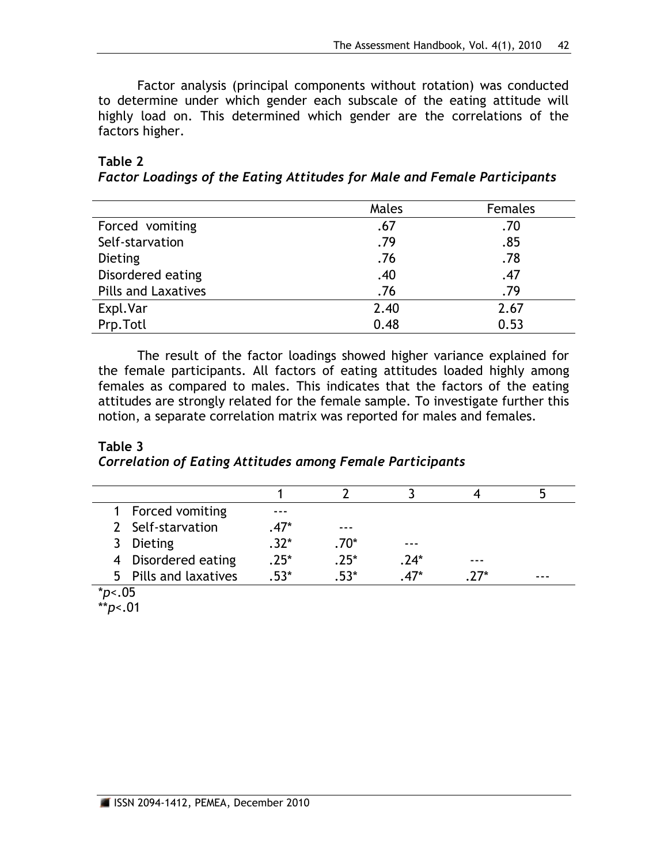Factor analysis (principal components without rotation) was conducted to determine under which gender each subscale of the eating attitude will highly load on. This determined which gender are the correlations of the factors higher.

| Table 2                                                                         |  |  |  |
|---------------------------------------------------------------------------------|--|--|--|
| <b>Factor Loadings of the Eating Attitudes for Male and Female Participants</b> |  |  |  |

|                            | Males | Females |
|----------------------------|-------|---------|
| Forced vomiting            | .67   | .70     |
| Self-starvation            | .79   | .85     |
| Dieting                    | .76   | .78     |
| Disordered eating          | .40   | .47     |
| <b>Pills and Laxatives</b> | .76   | .79     |
| Expl.Var                   | 2.40  | 2.67    |
| Prp.Totl                   | 0.48  | 0.53    |

The result of the factor loadings showed higher variance explained for the female participants. All factors of eating attitudes loaded highly among females as compared to males. This indicates that the factors of the eating attitudes are strongly related for the female sample. To investigate further this notion, a separate correlation matrix was reported for males and females.

## **Table 3** *Correlation of Eating Attitudes among Female Participants*

|    | 1 Forced vomiting     |      |         |        |       |       |
|----|-----------------------|------|---------|--------|-------|-------|
|    | 2 Self-starvation     | .47* |         |        |       |       |
| 3  | Dieting               | .32* | $.70^*$ |        |       |       |
|    | 4 Disordered eating   | .25* | $.25*$  | $.24*$ | ---   |       |
|    | 5 Pills and laxatives | -53* | 53*     | $A7*$  | $77*$ | - - - |
| л. | $\sim$ $\sim$         |      |         |        |       |       |

<sup>\*</sup>*p*<.05

\*\**p*<.01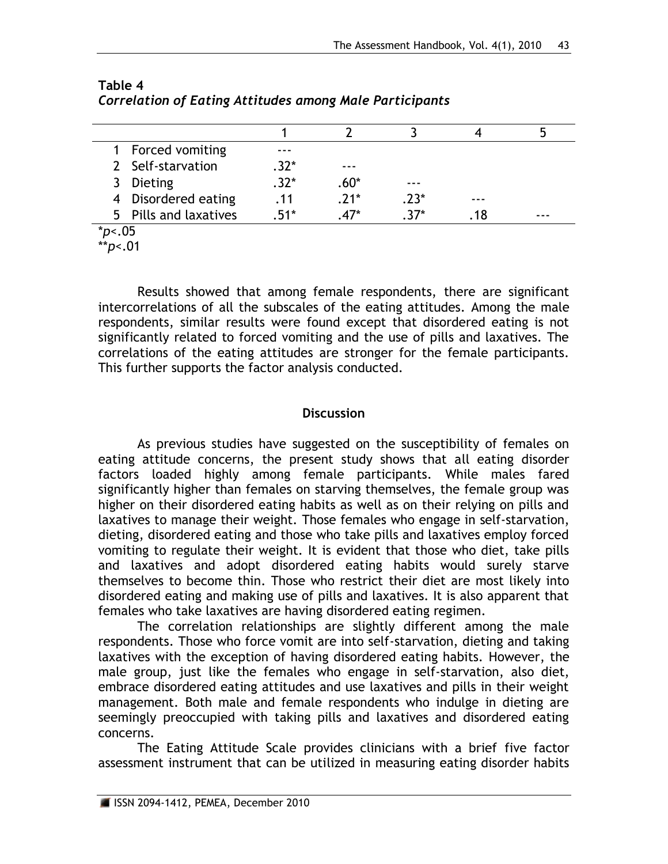|                              | 1 Forced vomiting     |        |         |        |    |  |
|------------------------------|-----------------------|--------|---------|--------|----|--|
|                              | 2 Self-starvation     | .32*   | ---     |        |    |  |
| 3                            | Dieting               | $.32*$ | $.60^*$ | ---    |    |  |
|                              | 4 Disordered eating   | . 11   | $.21*$  | $.23*$ |    |  |
|                              | 5 Pills and laxatives | 51*    | $47*$   | $37*$  | 18 |  |
| $\star$ $\sim$ $\sim$ $\sim$ |                       |        |         |        |    |  |

## **Table 4** *Correlation of Eating Attitudes among Male Participants*

\**p*<.05 \*\**p*<.01

Results showed that among female respondents, there are significant intercorrelations of all the subscales of the eating attitudes. Among the male respondents, similar results were found except that disordered eating is not significantly related to forced vomiting and the use of pills and laxatives. The correlations of the eating attitudes are stronger for the female participants. This further supports the factor analysis conducted.

## **Discussion**

As previous studies have suggested on the susceptibility of females on eating attitude concerns, the present study shows that all eating disorder factors loaded highly among female participants. While males fared significantly higher than females on starving themselves, the female group was higher on their disordered eating habits as well as on their relying on pills and laxatives to manage their weight. Those females who engage in self-starvation, dieting, disordered eating and those who take pills and laxatives employ forced vomiting to regulate their weight. It is evident that those who diet, take pills and laxatives and adopt disordered eating habits would surely starve themselves to become thin. Those who restrict their diet are most likely into disordered eating and making use of pills and laxatives. It is also apparent that females who take laxatives are having disordered eating regimen.

The correlation relationships are slightly different among the male respondents. Those who force vomit are into self-starvation, dieting and taking laxatives with the exception of having disordered eating habits. However, the male group, just like the females who engage in self-starvation, also diet, embrace disordered eating attitudes and use laxatives and pills in their weight management. Both male and female respondents who indulge in dieting are seemingly preoccupied with taking pills and laxatives and disordered eating concerns.

The Eating Attitude Scale provides clinicians with a brief five factor assessment instrument that can be utilized in measuring eating disorder habits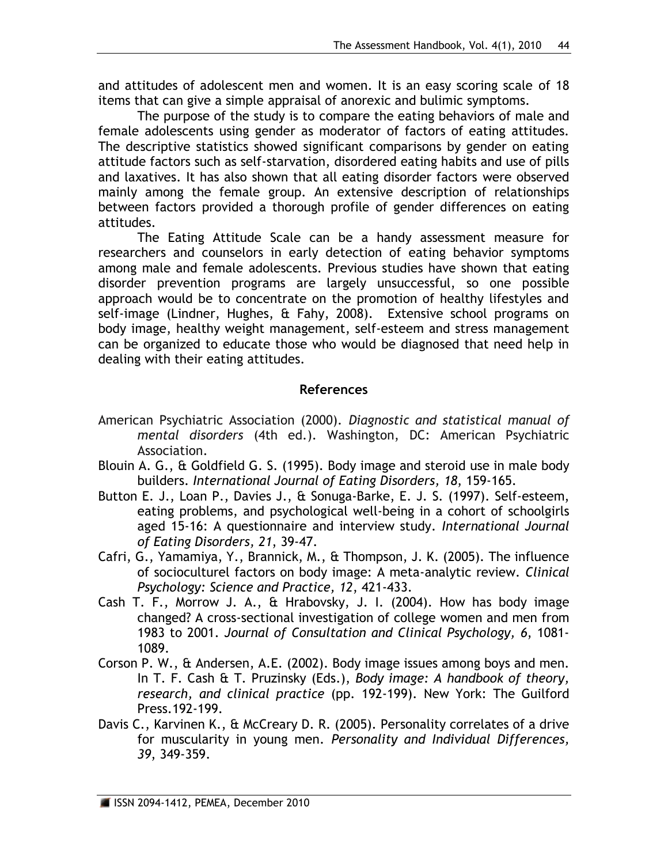and attitudes of adolescent men and women. It is an easy scoring scale of 18 items that can give a simple appraisal of anorexic and bulimic symptoms.

The purpose of the study is to compare the eating behaviors of male and female adolescents using gender as moderator of factors of eating attitudes. The descriptive statistics showed significant comparisons by gender on eating attitude factors such as self-starvation, disordered eating habits and use of pills and laxatives. It has also shown that all eating disorder factors were observed mainly among the female group. An extensive description of relationships between factors provided a thorough profile of gender differences on eating attitudes.

The Eating Attitude Scale can be a handy assessment measure for researchers and counselors in early detection of eating behavior symptoms among male and female adolescents. Previous studies have shown that eating disorder prevention programs are largely unsuccessful, so one possible approach would be to concentrate on the promotion of healthy lifestyles and self-image (Lindner, Hughes, & Fahy, 2008). Extensive school programs on body image, healthy weight management, self-esteem and stress management can be organized to educate those who would be diagnosed that need help in dealing with their eating attitudes.

## **References**

- American Psychiatric Association (2000). *Diagnostic and statistical manual of mental disorders* (4th ed.). Washington, DC: American Psychiatric Association.
- Blouin A. G., & Goldfield G. S. (1995). Body image and steroid use in male body builders. *International Journal of Eating Disorders, 18*, 159-165.
- Button E. J., Loan P., Davies J., & Sonuga-Barke, E. J. S. (1997). Self-esteem, eating problems, and psychological well-being in a cohort of schoolgirls aged 15-16: A questionnaire and interview study. *International Journal of Eating Disorders, 21*, 39-47.
- Cafri, G., Yamamiya, Y., Brannick, M., & Thompson, J. K. (2005). The influence of socioculturel factors on body image: A meta-analytic review. *Clinical Psychology: Science and Practice, 12*, 421-433.
- Cash T. F., Morrow J. A., & Hrabovsky, J. I. (2004). How has body image changed? A cross-sectional investigation of college women and men from 1983 to 2001. *Journal of Consultation and Clinical Psychology, 6*, 1081- 1089.
- Corson P. W., & Andersen, A.E. (2002). Body image issues among boys and men. In T. F. Cash & T. Pruzinsky (Eds.), *Body image: A handbook of theory, research, and clinical practice* (pp. 192-199). New York: The Guilford Press.192-199.
- Davis C., Karvinen K., & McCreary D. R. (2005). Personality correlates of a drive for muscularity in young men. *Personality and Individual Differences, 39*, 349-359.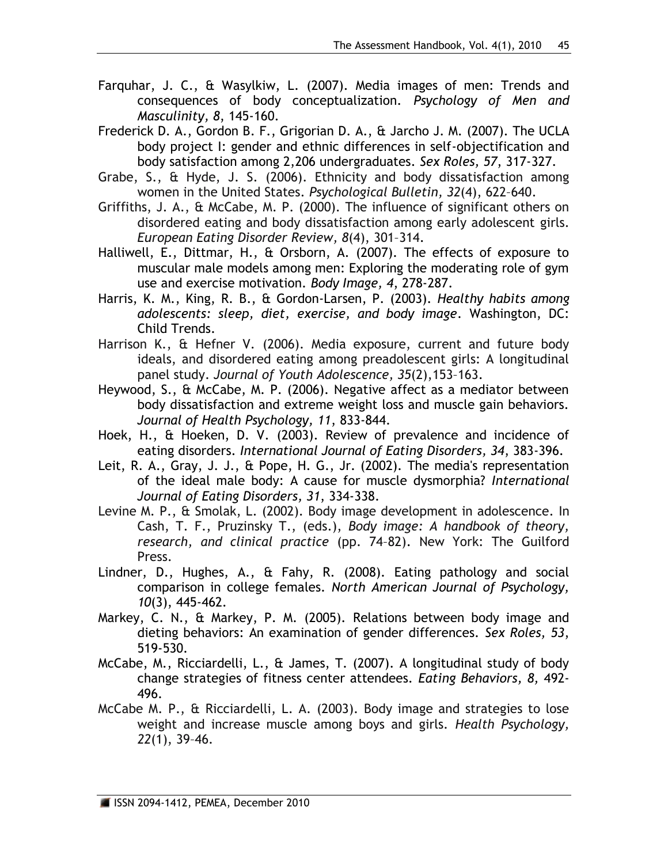- Farquhar, J. C., & Wasylkiw, L. (2007). Media images of men: Trends and consequences of body conceptualization. *Psychology of Men and Masculinity, 8*, 145-160.
- Frederick D. A., Gordon B. F., Grigorian D. A., & Jarcho J. M. (2007). The UCLA body project I: gender and ethnic differences in self-objectification and body satisfaction among 2,206 undergraduates. *Sex Roles, 57*, 317-327.
- Grabe, S., & Hyde, J. S. (2006). Ethnicity and body dissatisfaction among women in the United States. *Psychological Bulletin, 32*(4), 622–640.
- Griffiths, J. A., & McCabe, M. P. (2000). The influence of significant others on disordered eating and body dissatisfaction among early adolescent girls. *European Eating Disorder Review, 8*(4), 301–314.
- Halliwell, E., Dittmar, H., & Orsborn, A. (2007). The effects of exposure to muscular male models among men: Exploring the moderating role of gym use and exercise motivation. *Body Image, 4*, 278-287.
- Harris, K. M., King, R. B., & Gordon-Larsen, P. (2003). *Healthy habits among adolescents: sleep, diet, exercise, and body image*. Washington, DC: Child Trends.
- Harrison K., & Hefner V. (2006). Media exposure, current and future body ideals, and disordered eating among preadolescent girls: A longitudinal panel study. *Journal of Youth Adolescence, 35*(2),153–163.
- Heywood, S., & McCabe, M. P. (2006). Negative affect as a mediator between body dissatisfaction and extreme weight loss and muscle gain behaviors. *Journal of Health Psychology, 11*, 833-844.
- Hoek, H., & Hoeken, D. V. (2003). Review of prevalence and incidence of eating disorders. *International Journal of Eating Disorders, 34*, 383-396.
- Leit, R. A., Gray, J. J., & Pope, H. G., Jr. (2002). The media's representation of the ideal male body: A cause for muscle dysmorphia? *International Journal of Eating Disorders, 31*, 334-338.
- Levine M. P., & Smolak, L. (2002). Body image development in adolescence. In Cash, T. F., Pruzinsky T., (eds.), *Body image: A handbook of theory, research, and clinical practice* (pp. 74–82). New York: The Guilford Press.
- Lindner, D., Hughes, A., & Fahy, R. (2008). Eating pathology and social comparison in college females. *North American Journal of Psychology, 10*(3), 445-462.
- Markey, C. N., & Markey, P. M. (2005). Relations between body image and dieting behaviors: An examination of gender differences. *Sex Roles, 53*, 519-530.
- McCabe, M., Ricciardelli, L., & James, T. (2007). A longitudinal study of body change strategies of fitness center attendees. *Eating Behaviors, 8,* 492- 496.
- McCabe M. P., & Ricciardelli, L. A. (2003). Body image and strategies to lose weight and increase muscle among boys and girls. *Health Psychology, 22*(1), 39–46.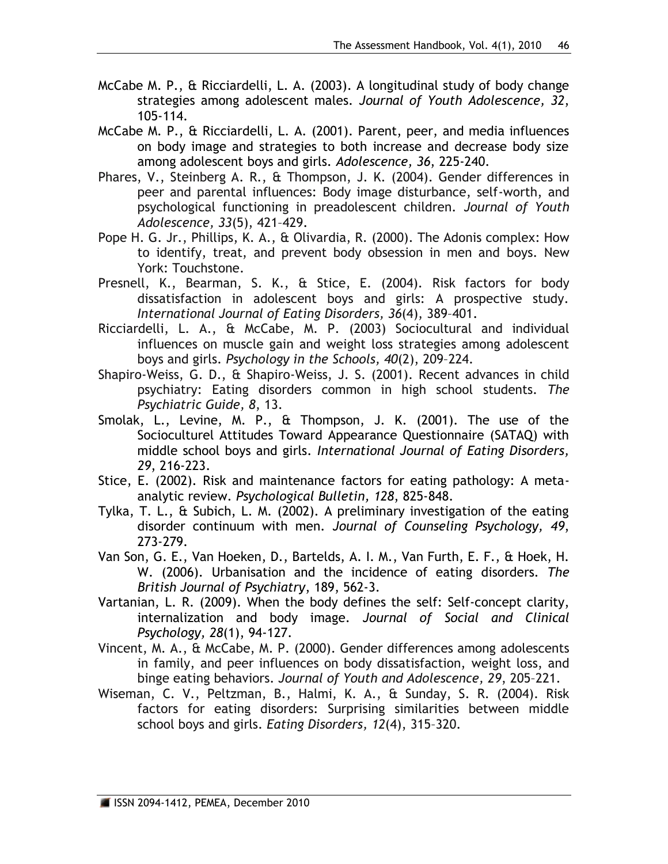- McCabe M. P., & Ricciardelli, L. A. (2003). A longitudinal study of body change strategies among adolescent males. *Journal of Youth Adolescence, 32*, 105-114.
- McCabe M. P., & Ricciardelli, L. A. (2001). Parent, peer, and media influences on body image and strategies to both increase and decrease body size among adolescent boys and girls. *Adolescence, 36*, 225-240.
- Phares, V., Steinberg A. R., & Thompson, J. K. (2004). Gender differences in peer and parental influences: Body image disturbance, self-worth, and psychological functioning in preadolescent children. *Journal of Youth Adolescence, 33*(5), 421–429.
- Pope H. G. Jr., Phillips, K. A., & Olivardia, R. (2000). The Adonis complex: How to identify, treat, and prevent body obsession in men and boys. New York: Touchstone.
- Presnell, K., Bearman, S. K., & Stice, E. (2004). Risk factors for body dissatisfaction in adolescent boys and girls: A prospective study. *International Journal of Eating Disorders, 36*(4), 389–401.
- Ricciardelli, L. A., & McCabe, M. P. (2003) Sociocultural and individual influences on muscle gain and weight loss strategies among adolescent boys and girls. *Psychology in the Schools, 40*(2), 209–224.
- Shapiro-Weiss, G. D., & Shapiro-Weiss, J. S. (2001). Recent advances in child psychiatry: Eating disorders common in high school students. *The Psychiatric Guide, 8*, 13.
- Smolak, L., Levine, M. P., & Thompson, J. K. (2001). The use of the Socioculturel Attitudes Toward Appearance Questionnaire (SATAQ) with middle school boys and girls. *International Journal of Eating Disorders, 29*, 216-223.
- Stice, E. (2002). Risk and maintenance factors for eating pathology: A metaanalytic review. *Psychological Bulletin, 128*, 825-848.
- Tylka, T. L., & Subich, L. M. (2002). A preliminary investigation of the eating disorder continuum with men. *Journal of Counseling Psychology, 49*, 273-279.
- Van Son, G. E., Van Hoeken, D., Bartelds, A. I. M., Van Furth, E. F., & Hoek, H. W. (2006). Urbanisation and the incidence of eating disorders. *The British Journal of Psychiatry*, 189, 562-3.
- Vartanian, L. R. (2009). When the body defines the self: Self-concept clarity, internalization and body image. *Journal of Social and Clinical Psychology, 28*(1), 94-127.
- Vincent, M. A., & McCabe, M. P. (2000). Gender differences among adolescents in family, and peer influences on body dissatisfaction, weight loss, and binge eating behaviors. *Journal of Youth and Adolescence, 29*, 205–221.
- Wiseman, C. V., Peltzman, B., Halmi, K. A., & Sunday, S. R. (2004). Risk factors for eating disorders: Surprising similarities between middle school boys and girls. *Eating Disorders, 12*(4), 315–320.